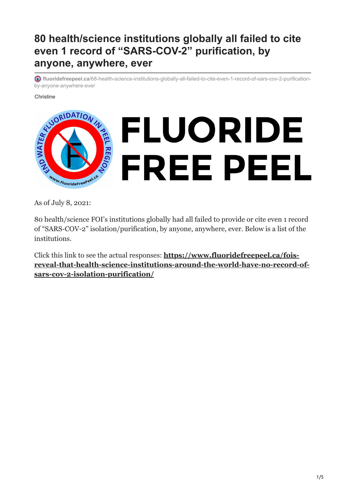## **80 health/science institutions globally all failed to cite even 1 record of "SARS-COV-2" purification, by anyone, anywhere, ever**

**fluoridefreepeel.ca**[/68-health-science-institutions-globally-all-failed-to-cite-even-1-record-of-sars-cov-2-purification](https://www.fluoridefreepeel.ca/68-health-science-institutions-globally-all-failed-to-cite-even-1-record-of-sars-cov-2-purification-by-anyone-anywhere-ever/)by-anyone-anywhere-ever

## **Christine**



As of July 8, 2021:

80 health/science FOI's institutions globally had all failed to provide or cite even 1 record of "SARS-COV-2" isolation/purification, by anyone, anywhere, ever. Below is a list of the institutions.

Click this link to see the actual responses: **https://www.fluoridefreepeel.ca/fois[reveal-that-health-science-institutions-around-the-world-have-no-record-of](https://www.fluoridefreepeel.ca/fois-reveal-that-health-science-institutions-around-the-world-have-no-record-of-sars-cov-2-isolation-purification/)sars-cov-2-isolation-purification/**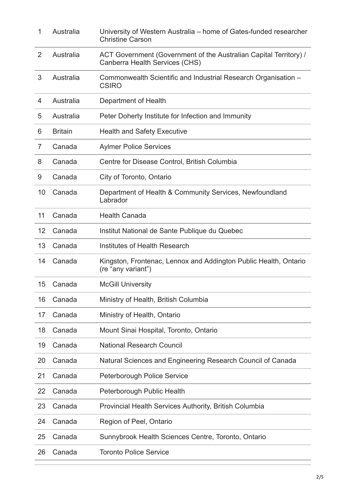| 1              | Australia      | University of Western Australia – home of Gates-funded researcher<br><b>Christine Carson</b>        |
|----------------|----------------|-----------------------------------------------------------------------------------------------------|
| 2              | Australia      | ACT Government (Government of the Australian Capital Territory) /<br>Canberra Health Services (CHS) |
| 3              | Australia      | Commonwealth Scientific and Industrial Research Organisation -<br><b>CSIRO</b>                      |
| 4              | Australia      | Department of Health                                                                                |
| 5              | Australia      | Peter Doherty Institute for Infection and Immunity                                                  |
| 6              | <b>Britain</b> | <b>Health and Safety Executive</b>                                                                  |
| $\overline{7}$ | Canada         | <b>Aylmer Police Services</b>                                                                       |
| 8              | Canada         | Centre for Disease Control, British Columbia                                                        |
| 9              | Canada         | City of Toronto, Ontario                                                                            |
| 10             | Canada         | Department of Health & Community Services, Newfoundland<br>Labrador                                 |
| 11             | Canada         | <b>Health Canada</b>                                                                                |
| 12             | Canada         | Institut National de Sante Publique du Quebec                                                       |
| 13             | Canada         | <b>Institutes of Health Research</b>                                                                |
| 14             | Canada         | Kingston, Frontenac, Lennox and Addington Public Health, Ontario<br>(re "any variant")              |
| 15             | Canada         | <b>McGill University</b>                                                                            |
| 16             | Canada         | Ministry of Health, British Columbia                                                                |
| 17             | Canada         | Ministry of Health, Ontario                                                                         |
| 18             | Canada         | Mount Sinai Hospital, Toronto, Ontario                                                              |
| 19             | Canada         | <b>National Research Council</b>                                                                    |
| 20             | Canada         | Natural Sciences and Engineering Research Council of Canada                                         |
| 21             | Canada         | Peterborough Police Service                                                                         |
| 22             | Canada         | Peterborough Public Health                                                                          |
| 23             | Canada         | Provincial Health Services Authority, British Columbia                                              |
| 24             | Canada         | Region of Peel, Ontario                                                                             |
| 25             | Canada         | Sunnybrook Health Sciences Centre, Toronto, Ontario                                                 |
| 26             | Canada         | <b>Toronto Police Service</b>                                                                       |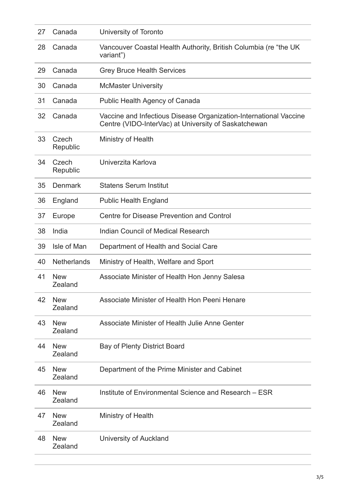| 27 | Canada                | University of Toronto                                                                                                     |
|----|-----------------------|---------------------------------------------------------------------------------------------------------------------------|
| 28 | Canada                | Vancouver Coastal Health Authority, British Columbia (re "the UK<br>variant")                                             |
| 29 | Canada                | <b>Grey Bruce Health Services</b>                                                                                         |
| 30 | Canada                | <b>McMaster University</b>                                                                                                |
| 31 | Canada                | Public Health Agency of Canada                                                                                            |
| 32 | Canada                | Vaccine and Infectious Disease Organization-International Vaccine<br>Centre (VIDO-InterVac) at University of Saskatchewan |
| 33 | Czech<br>Republic     | Ministry of Health                                                                                                        |
| 34 | Czech<br>Republic     | Univerzita Karlova                                                                                                        |
| 35 | <b>Denmark</b>        | <b>Statens Serum Institut</b>                                                                                             |
| 36 | England               | <b>Public Health England</b>                                                                                              |
| 37 | Europe                | Centre for Disease Prevention and Control                                                                                 |
| 38 | India                 | <b>Indian Council of Medical Research</b>                                                                                 |
|    |                       |                                                                                                                           |
| 39 | Isle of Man           | Department of Health and Social Care                                                                                      |
| 40 | <b>Netherlands</b>    | Ministry of Health, Welfare and Sport                                                                                     |
| 41 | <b>New</b><br>Zealand | Associate Minister of Health Hon Jenny Salesa                                                                             |
| 42 | <b>New</b><br>Zealand | Associate Minister of Health Hon Peeni Henare                                                                             |
| 43 | <b>New</b><br>Zealand | Associate Minister of Health Julie Anne Genter                                                                            |
| 44 | <b>New</b><br>Zealand | Bay of Plenty District Board                                                                                              |
| 45 | <b>New</b><br>Zealand | Department of the Prime Minister and Cabinet                                                                              |
| 46 | <b>New</b><br>Zealand | Institute of Environmental Science and Research – ESR                                                                     |
| 47 | <b>New</b><br>Zealand | Ministry of Health                                                                                                        |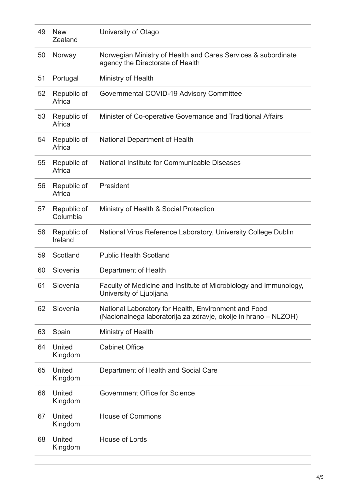| 49 | <b>New</b><br>Zealand    | University of Otago                                                                                                     |
|----|--------------------------|-------------------------------------------------------------------------------------------------------------------------|
| 50 | Norway                   | Norwegian Ministry of Health and Cares Services & subordinate<br>agency the Directorate of Health                       |
| 51 | Portugal                 | Ministry of Health                                                                                                      |
| 52 | Republic of<br>Africa    | Governmental COVID-19 Advisory Committee                                                                                |
| 53 | Republic of<br>Africa    | Minister of Co-operative Governance and Traditional Affairs                                                             |
| 54 | Republic of<br>Africa    | <b>National Department of Health</b>                                                                                    |
| 55 | Republic of<br>Africa    | National Institute for Communicable Diseases                                                                            |
| 56 | Republic of<br>Africa    | President                                                                                                               |
| 57 | Republic of<br>Columbia  | Ministry of Health & Social Protection                                                                                  |
| 58 | Republic of<br>Ireland   | National Virus Reference Laboratory, University College Dublin                                                          |
| 59 | Scotland                 | <b>Public Health Scotland</b>                                                                                           |
| 60 | Slovenia                 | Department of Health                                                                                                    |
| 61 | Slovenia                 | Faculty of Medicine and Institute of Microbiology and Immunology,<br>University of Ljubljana                            |
| 62 | Slovenia                 | National Laboratory for Health, Environment and Food<br>(Nacionalnega laboratorija za zdravje, okolje in hrano – NLZOH) |
| 63 | Spain                    | Ministry of Health                                                                                                      |
| 64 | <b>United</b><br>Kingdom | <b>Cabinet Office</b>                                                                                                   |
| 65 | United<br>Kingdom        | Department of Health and Social Care                                                                                    |
| 66 | United<br>Kingdom        | Government Office for Science                                                                                           |
| 67 | <b>United</b><br>Kingdom | <b>House of Commons</b>                                                                                                 |
| 68 | United<br>Kingdom        | House of Lords                                                                                                          |